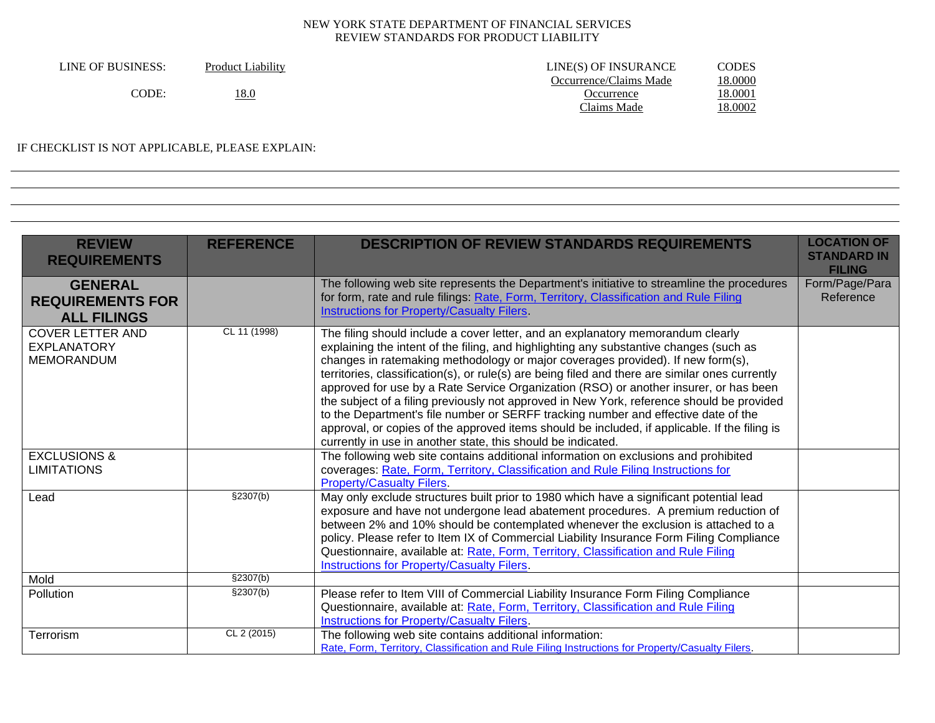| LINE OF BUSINESS: | <b>Product Liability</b> | LINE(S) OF INSURANCE   | CODES   |
|-------------------|--------------------------|------------------------|---------|
|                   |                          | Occurrence/Claims Made | 18.0000 |
| CODE:             | <u>18.0</u>              | Occurrence             | 18.0001 |
|                   |                          | Claims Made            | 18.0002 |

### IF CHECKLIST IS NOT APPLICABLE, PLEASE EXPLAIN:

| <b>REVIEW</b><br><b>REQUIREMENTS</b>                               | <b>REFERENCE</b> | <b>DESCRIPTION OF REVIEW STANDARDS REQUIREMENTS</b>                                                                                                                                                                                                                                                                                                                                                                                                                                                                                                                                                                                                                                                                                                                                                          | <b>LOCATION OF</b><br><b>STANDARD IN</b><br><b>FILING</b> |
|--------------------------------------------------------------------|------------------|--------------------------------------------------------------------------------------------------------------------------------------------------------------------------------------------------------------------------------------------------------------------------------------------------------------------------------------------------------------------------------------------------------------------------------------------------------------------------------------------------------------------------------------------------------------------------------------------------------------------------------------------------------------------------------------------------------------------------------------------------------------------------------------------------------------|-----------------------------------------------------------|
| <b>GENERAL</b><br><b>REQUIREMENTS FOR</b><br><b>ALL FILINGS</b>    |                  | The following web site represents the Department's initiative to streamline the procedures<br>for form, rate and rule filings: Rate, Form, Territory, Classification and Rule Filing<br>Instructions for Property/Casualty Filers.                                                                                                                                                                                                                                                                                                                                                                                                                                                                                                                                                                           | Form/Page/Para<br>Reference                               |
| <b>COVER LETTER AND</b><br><b>EXPLANATORY</b><br><b>MEMORANDUM</b> | CL 11 (1998)     | The filing should include a cover letter, and an explanatory memorandum clearly<br>explaining the intent of the filing, and highlighting any substantive changes (such as<br>changes in ratemaking methodology or major coverages provided). If new form(s),<br>territories, classification(s), or rule(s) are being filed and there are similar ones currently<br>approved for use by a Rate Service Organization (RSO) or another insurer, or has been<br>the subject of a filing previously not approved in New York, reference should be provided<br>to the Department's file number or SERFF tracking number and effective date of the<br>approval, or copies of the approved items should be included, if applicable. If the filing is<br>currently in use in another state, this should be indicated. |                                                           |
| <b>EXCLUSIONS &amp;</b><br><b>LIMITATIONS</b>                      |                  | The following web site contains additional information on exclusions and prohibited<br>coverages: Rate, Form, Territory, Classification and Rule Filing Instructions for<br><b>Property/Casualty Filers.</b>                                                                                                                                                                                                                                                                                                                                                                                                                                                                                                                                                                                                 |                                                           |
| Lead                                                               | §2307(b)         | May only exclude structures built prior to 1980 which have a significant potential lead<br>exposure and have not undergone lead abatement procedures. A premium reduction of<br>between 2% and 10% should be contemplated whenever the exclusion is attached to a<br>policy. Please refer to Item IX of Commercial Liability Insurance Form Filing Compliance<br>Questionnaire, available at: Rate, Form, Territory, Classification and Rule Filing<br><b>Instructions for Property/Casualty Filers.</b>                                                                                                                                                                                                                                                                                                     |                                                           |
| Mold                                                               | §2307(b)         |                                                                                                                                                                                                                                                                                                                                                                                                                                                                                                                                                                                                                                                                                                                                                                                                              |                                                           |
| <b>Pollution</b>                                                   | \$2307(b)        | Please refer to Item VIII of Commercial Liability Insurance Form Filing Compliance<br>Questionnaire, available at: Rate, Form, Territory, Classification and Rule Filing<br><b>Instructions for Property/Casualty Filers.</b>                                                                                                                                                                                                                                                                                                                                                                                                                                                                                                                                                                                |                                                           |
| Terrorism                                                          | CL 2 (2015)      | The following web site contains additional information:<br>Rate, Form, Territory, Classification and Rule Filing Instructions for Property/Casualty Filers.                                                                                                                                                                                                                                                                                                                                                                                                                                                                                                                                                                                                                                                  |                                                           |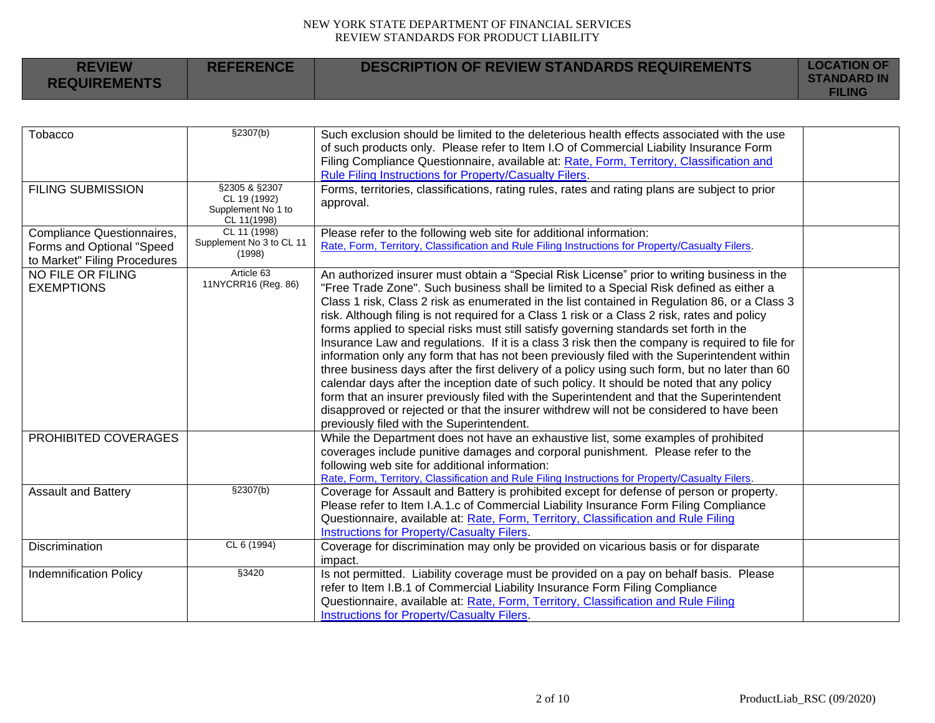| <b>REVIEW</b><br><b>REQUIREMENTS</b> | <b>REFERENCE</b> | DESCRIPTION OF REVIEW STANDARDS REQUIREMENTS | <b>LOCATION OF</b><br><b>STANDARD IN</b><br><b>FILING</b> |
|--------------------------------------|------------------|----------------------------------------------|-----------------------------------------------------------|
|                                      |                  |                                              |                                                           |

| Tobacco                       | \$2307(b)                     | Such exclusion should be limited to the deleterious health effects associated with the use       |  |
|-------------------------------|-------------------------------|--------------------------------------------------------------------------------------------------|--|
|                               |                               | of such products only. Please refer to Item I.O of Commercial Liability Insurance Form           |  |
|                               |                               | Filing Compliance Questionnaire, available at: Rate, Form, Territory, Classification and         |  |
|                               |                               | Rule Filing Instructions for Property/Casualty Filers.                                           |  |
| <b>FILING SUBMISSION</b>      | §2305 & §2307<br>CL 19 (1992) | Forms, territories, classifications, rating rules, rates and rating plans are subject to prior   |  |
|                               | Supplement No 1 to            | approval.                                                                                        |  |
|                               | CL 11(1998)                   |                                                                                                  |  |
| Compliance Questionnaires,    | CL 11 (1998)                  | Please refer to the following web site for additional information:                               |  |
| Forms and Optional "Speed     | Supplement No 3 to CL 11      | Rate, Form, Territory, Classification and Rule Filing Instructions for Property/Casualty Filers. |  |
| to Market" Filing Procedures  | (1998)                        |                                                                                                  |  |
| NO FILE OR FILING             | Article 63                    | An authorized insurer must obtain a "Special Risk License" prior to writing business in the      |  |
| <b>EXEMPTIONS</b>             | 11NYCRR16 (Reg. 86)           | "Free Trade Zone". Such business shall be limited to a Special Risk defined as either a          |  |
|                               |                               | Class 1 risk, Class 2 risk as enumerated in the list contained in Regulation 86, or a Class 3    |  |
|                               |                               | risk. Although filing is not required for a Class 1 risk or a Class 2 risk, rates and policy     |  |
|                               |                               | forms applied to special risks must still satisfy governing standards set forth in the           |  |
|                               |                               | Insurance Law and regulations. If it is a class 3 risk then the company is required to file for  |  |
|                               |                               | information only any form that has not been previously filed with the Superintendent within      |  |
|                               |                               | three business days after the first delivery of a policy using such form, but no later than 60   |  |
|                               |                               | calendar days after the inception date of such policy. It should be noted that any policy        |  |
|                               |                               | form that an insurer previously filed with the Superintendent and that the Superintendent        |  |
|                               |                               | disapproved or rejected or that the insurer withdrew will not be considered to have been         |  |
|                               |                               | previously filed with the Superintendent.                                                        |  |
| PROHIBITED COVERAGES          |                               | While the Department does not have an exhaustive list, some examples of prohibited               |  |
|                               |                               | coverages include punitive damages and corporal punishment. Please refer to the                  |  |
|                               |                               | following web site for additional information:                                                   |  |
|                               |                               | Rate, Form, Territory, Classification and Rule Filing Instructions for Property/Casualty Filers. |  |
| <b>Assault and Battery</b>    | \$2307(b)                     | Coverage for Assault and Battery is prohibited except for defense of person or property.         |  |
|                               |                               | Please refer to Item I.A.1.c of Commercial Liability Insurance Form Filing Compliance            |  |
|                               |                               | Questionnaire, available at: Rate, Form, Territory, Classification and Rule Filing               |  |
|                               |                               | Instructions for Property/Casualty Filers.                                                       |  |
| <b>Discrimination</b>         | CL 6 (1994)                   | Coverage for discrimination may only be provided on vicarious basis or for disparate             |  |
|                               |                               | impact.                                                                                          |  |
| <b>Indemnification Policy</b> | §3420                         | Is not permitted. Liability coverage must be provided on a pay on behalf basis. Please           |  |
|                               |                               | refer to Item I.B.1 of Commercial Liability Insurance Form Filing Compliance                     |  |
|                               |                               | Questionnaire, available at: Rate, Form, Territory, Classification and Rule Filing               |  |
|                               |                               | <b>Instructions for Property/Casualty Filers.</b>                                                |  |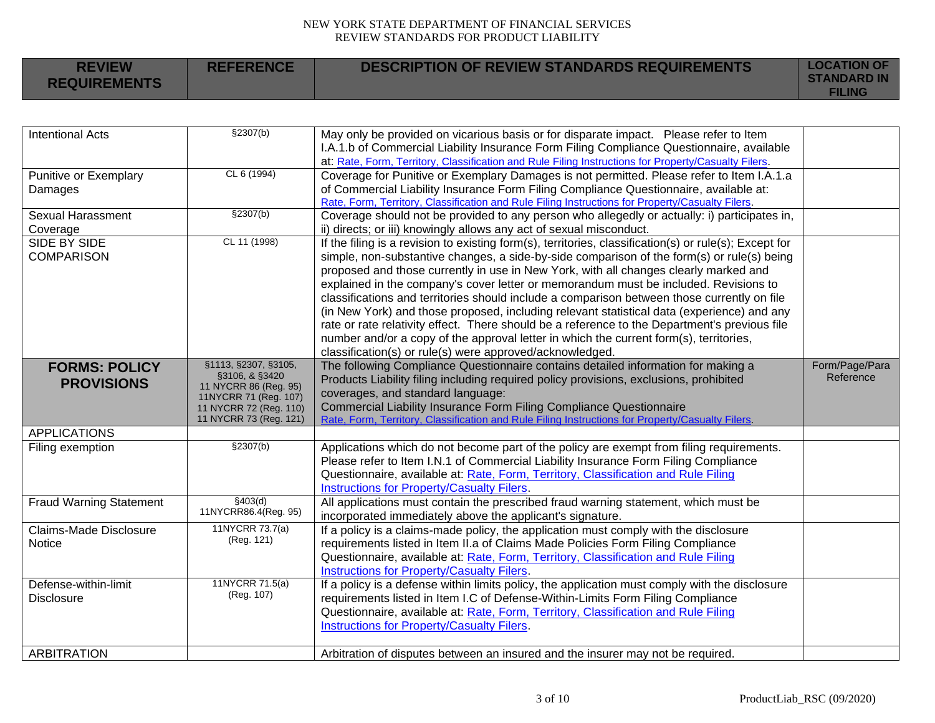| <b>REVIEW</b><br><b>REQUIREMENTS</b> | <b>REFERENCE</b> | DESCRIPTION OF REVIEW STANDARDS REQUIREMENTS | <b>LOCATION OF</b><br><b>STANDARD IN</b><br><b>FILING</b> |
|--------------------------------------|------------------|----------------------------------------------|-----------------------------------------------------------|
|                                      |                  |                                              |                                                           |

| <b>Intentional Acts</b>        | \$2307(b)                              | May only be provided on vicarious basis or for disparate impact. Please refer to Item<br>I.A.1.b of Commercial Liability Insurance Form Filing Compliance Questionnaire, available |                |
|--------------------------------|----------------------------------------|------------------------------------------------------------------------------------------------------------------------------------------------------------------------------------|----------------|
|                                |                                        | at: Rate, Form, Territory, Classification and Rule Filing Instructions for Property/Casualty Filers.                                                                               |                |
| Punitive or Exemplary          | CL 6 (1994)                            | Coverage for Punitive or Exemplary Damages is not permitted. Please refer to Item I.A.1.a                                                                                          |                |
| Damages                        |                                        | of Commercial Liability Insurance Form Filing Compliance Questionnaire, available at:                                                                                              |                |
|                                |                                        | Rate, Form, Territory, Classification and Rule Filing Instructions for Property/Casualty Filers.                                                                                   |                |
| <b>Sexual Harassment</b>       | \$2307(b)                              | Coverage should not be provided to any person who allegedly or actually: i) participates in,                                                                                       |                |
| Coverage                       |                                        | ii) directs; or iii) knowingly allows any act of sexual misconduct.                                                                                                                |                |
| SIDE BY SIDE                   | CL 11 (1998)                           | If the filing is a revision to existing form(s), territories, classification(s) or rule(s); Except for                                                                             |                |
| <b>COMPARISON</b>              |                                        | simple, non-substantive changes, a side-by-side comparison of the form(s) or rule(s) being                                                                                         |                |
|                                |                                        | proposed and those currently in use in New York, with all changes clearly marked and                                                                                               |                |
|                                |                                        | explained in the company's cover letter or memorandum must be included. Revisions to                                                                                               |                |
|                                |                                        | classifications and territories should include a comparison between those currently on file                                                                                        |                |
|                                |                                        | (in New York) and those proposed, including relevant statistical data (experience) and any                                                                                         |                |
|                                |                                        | rate or rate relativity effect. There should be a reference to the Department's previous file                                                                                      |                |
|                                |                                        | number and/or a copy of the approval letter in which the current form(s), territories,                                                                                             |                |
|                                |                                        | classification(s) or rule(s) were approved/acknowledged.                                                                                                                           |                |
| <b>FORMS: POLICY</b>           | §1113, §2307, §3105,<br>§3106, & §3420 | The following Compliance Questionnaire contains detailed information for making a                                                                                                  | Form/Page/Para |
| <b>PROVISIONS</b>              | 11 NYCRR 86 (Reg. 95)                  | Products Liability filing including required policy provisions, exclusions, prohibited                                                                                             | Reference      |
|                                | 11NYCRR 71 (Reg. 107)                  | coverages, and standard language:                                                                                                                                                  |                |
|                                | 11 NYCRR 72 (Reg. 110)                 | Commercial Liability Insurance Form Filing Compliance Questionnaire                                                                                                                |                |
|                                | 11 NYCRR 73 (Reg. 121)                 | Rate, Form, Territory, Classification and Rule Filing Instructions for Property/Casualty Filers.                                                                                   |                |
| <b>APPLICATIONS</b>            | \$2307(b)                              |                                                                                                                                                                                    |                |
| Filing exemption               |                                        | Applications which do not become part of the policy are exempt from filing requirements.                                                                                           |                |
|                                |                                        | Please refer to Item I.N.1 of Commercial Liability Insurance Form Filing Compliance                                                                                                |                |
|                                |                                        | Questionnaire, available at: Rate, Form, Territory, Classification and Rule Filing                                                                                                 |                |
|                                | \$403(d)                               | Instructions for Property/Casualty Filers.                                                                                                                                         |                |
| <b>Fraud Warning Statement</b> | 11NYCRR86.4(Reg. 95)                   | All applications must contain the prescribed fraud warning statement, which must be                                                                                                |                |
| Claims-Made Disclosure         | 11NYCRR 73.7(a)                        | incorporated immediately above the applicant's signature.                                                                                                                          |                |
| <b>Notice</b>                  | (Reg. 121)                             | If a policy is a claims-made policy, the application must comply with the disclosure<br>requirements listed in Item II.a of Claims Made Policies Form Filing Compliance            |                |
|                                |                                        | Questionnaire, available at: Rate, Form, Territory, Classification and Rule Filing                                                                                                 |                |
|                                |                                        | Instructions for Property/Casualty Filers.                                                                                                                                         |                |
| Defense-within-limit           | 11NYCRR 71.5(a)                        | If a policy is a defense within limits policy, the application must comply with the disclosure                                                                                     |                |
| <b>Disclosure</b>              | (Reg. 107)                             | requirements listed in Item I.C of Defense-Within-Limits Form Filing Compliance                                                                                                    |                |
|                                |                                        | Questionnaire, available at: Rate, Form, Territory, Classification and Rule Filing                                                                                                 |                |
|                                |                                        | Instructions for Property/Casualty Filers.                                                                                                                                         |                |
|                                |                                        |                                                                                                                                                                                    |                |
| <b>ARBITRATION</b>             |                                        | Arbitration of disputes between an insured and the insurer may not be required.                                                                                                    |                |
|                                |                                        |                                                                                                                                                                                    |                |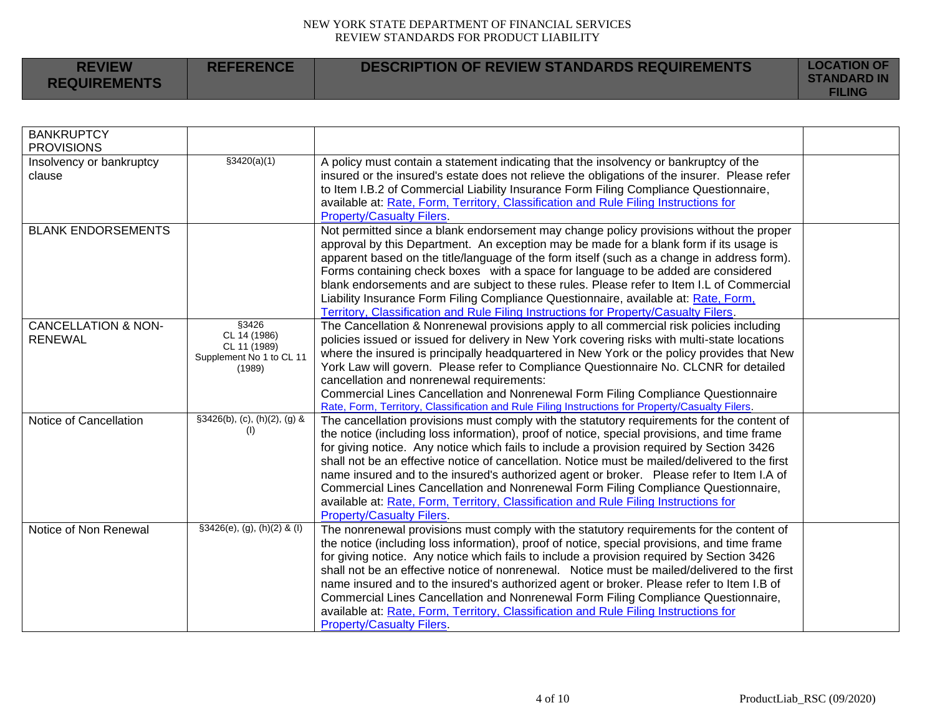|  | <b>REVIEW</b><br><b>REQUIREMENTS</b> | <b>REFERENCE</b> | DESCRIPTION OF REVIEW STANDARDS REQUIREMENTS | <b>LOCATION OF</b><br><b>STANDARD IN</b><br><b>FILING</b> |
|--|--------------------------------------|------------------|----------------------------------------------|-----------------------------------------------------------|
|--|--------------------------------------|------------------|----------------------------------------------|-----------------------------------------------------------|

| <b>BANKRUPTCY</b><br><b>PROVISIONS</b>           |                                                                             |                                                                                                                                                                                                                                                                                                                                                                                                                                                                                                                                                                                                                                                                                                          |  |
|--------------------------------------------------|-----------------------------------------------------------------------------|----------------------------------------------------------------------------------------------------------------------------------------------------------------------------------------------------------------------------------------------------------------------------------------------------------------------------------------------------------------------------------------------------------------------------------------------------------------------------------------------------------------------------------------------------------------------------------------------------------------------------------------------------------------------------------------------------------|--|
| Insolvency or bankruptcy<br>clause               | \$3420(a)(1)                                                                | A policy must contain a statement indicating that the insolvency or bankruptcy of the<br>insured or the insured's estate does not relieve the obligations of the insurer. Please refer<br>to Item I.B.2 of Commercial Liability Insurance Form Filing Compliance Questionnaire,<br>available at: Rate, Form, Territory, Classification and Rule Filing Instructions for<br><b>Property/Casualty Filers.</b>                                                                                                                                                                                                                                                                                              |  |
| <b>BLANK ENDORSEMENTS</b>                        |                                                                             | Not permitted since a blank endorsement may change policy provisions without the proper<br>approval by this Department. An exception may be made for a blank form if its usage is<br>apparent based on the title/language of the form itself (such as a change in address form).<br>Forms containing check boxes with a space for language to be added are considered<br>blank endorsements and are subject to these rules. Please refer to Item I.L of Commercial<br>Liability Insurance Form Filing Compliance Questionnaire, available at: Rate, Form,<br>Territory, Classification and Rule Filing Instructions for Property/Casualty Filers.                                                        |  |
| <b>CANCELLATION &amp; NON-</b><br><b>RENEWAL</b> | §3426<br>CL 14 (1986)<br>CL 11 (1989)<br>Supplement No 1 to CL 11<br>(1989) | The Cancellation & Nonrenewal provisions apply to all commercial risk policies including<br>policies issued or issued for delivery in New York covering risks with multi-state locations<br>where the insured is principally headquartered in New York or the policy provides that New<br>York Law will govern. Please refer to Compliance Questionnaire No. CLCNR for detailed<br>cancellation and nonrenewal requirements:<br>Commercial Lines Cancellation and Nonrenewal Form Filing Compliance Questionnaire<br>Rate, Form, Territory, Classification and Rule Filing Instructions for Property/Casualty Filers.                                                                                    |  |
| Notice of Cancellation                           | §3426(b), (c), (h)(2), (g) &<br>(1)                                         | The cancellation provisions must comply with the statutory requirements for the content of<br>the notice (including loss information), proof of notice, special provisions, and time frame<br>for giving notice. Any notice which fails to include a provision required by Section 3426<br>shall not be an effective notice of cancellation. Notice must be mailed/delivered to the first<br>name insured and to the insured's authorized agent or broker. Please refer to Item I.A of<br>Commercial Lines Cancellation and Nonrenewal Form Filing Compliance Questionnaire,<br>available at: Rate, Form, Territory, Classification and Rule Filing Instructions for<br><b>Property/Casualty Filers.</b> |  |
| Notice of Non Renewal                            | $§3426(e), (g), (h)(2)$ & (I)                                               | The nonrenewal provisions must comply with the statutory requirements for the content of<br>the notice (including loss information), proof of notice, special provisions, and time frame<br>for giving notice. Any notice which fails to include a provision required by Section 3426<br>shall not be an effective notice of nonrenewal. Notice must be mailed/delivered to the first<br>name insured and to the insured's authorized agent or broker. Please refer to Item I.B of<br>Commercial Lines Cancellation and Nonrenewal Form Filing Compliance Questionnaire,<br>available at: Rate, Form, Territory, Classification and Rule Filing Instructions for<br><b>Property/Casualty Filers.</b>     |  |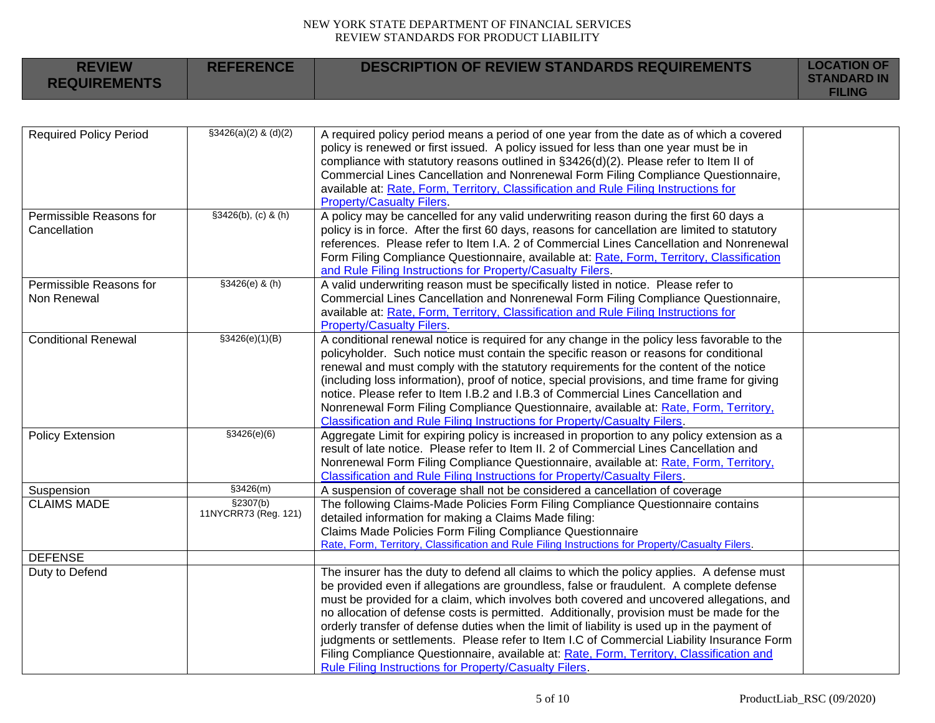| <b>REVIEW</b><br><b>REQUIREMENTS</b>    | <b>REFERENCE</b>                  | <b>DESCRIPTION OF REVIEW STANDARDS REQUIREMENTS</b>                                                                                                                                                                                                                                                                                                                                                                                                                                                                                                                                                                                                                                                                             | <b>LOCATION OF</b><br><b>STANDARD IN</b><br><b>FILING</b> |
|-----------------------------------------|-----------------------------------|---------------------------------------------------------------------------------------------------------------------------------------------------------------------------------------------------------------------------------------------------------------------------------------------------------------------------------------------------------------------------------------------------------------------------------------------------------------------------------------------------------------------------------------------------------------------------------------------------------------------------------------------------------------------------------------------------------------------------------|-----------------------------------------------------------|
|                                         |                                   |                                                                                                                                                                                                                                                                                                                                                                                                                                                                                                                                                                                                                                                                                                                                 |                                                           |
| <b>Required Policy Period</b>           | $$3426(a)(2)$ & (d)(2)            | A required policy period means a period of one year from the date as of which a covered<br>policy is renewed or first issued. A policy issued for less than one year must be in<br>compliance with statutory reasons outlined in §3426(d)(2). Please refer to Item II of<br>Commercial Lines Cancellation and Nonrenewal Form Filing Compliance Questionnaire,<br>available at: Rate, Form, Territory, Classification and Rule Filing Instructions for<br><b>Property/Casualty Filers.</b>                                                                                                                                                                                                                                      |                                                           |
| Permissible Reasons for<br>Cancellation | $§3426(b), (c)$ & (h)             | A policy may be cancelled for any valid underwriting reason during the first 60 days a<br>policy is in force. After the first 60 days, reasons for cancellation are limited to statutory<br>references. Please refer to Item I.A. 2 of Commercial Lines Cancellation and Nonrenewal<br>Form Filing Compliance Questionnaire, available at: Rate, Form, Territory, Classification<br>and Rule Filing Instructions for Property/Casualty Filers.                                                                                                                                                                                                                                                                                  |                                                           |
| Permissible Reasons for<br>Non Renewal  | $$3426(e)$ & (h)                  | A valid underwriting reason must be specifically listed in notice. Please refer to<br>Commercial Lines Cancellation and Nonrenewal Form Filing Compliance Questionnaire,<br>available at: Rate, Form, Territory, Classification and Rule Filing Instructions for<br><b>Property/Casualty Filers.</b>                                                                                                                                                                                                                                                                                                                                                                                                                            |                                                           |
| <b>Conditional Renewal</b>              | \$3426(e)(1)(B)                   | A conditional renewal notice is required for any change in the policy less favorable to the<br>policyholder. Such notice must contain the specific reason or reasons for conditional<br>renewal and must comply with the statutory requirements for the content of the notice<br>(including loss information), proof of notice, special provisions, and time frame for giving<br>notice. Please refer to Item I.B.2 and I.B.3 of Commercial Lines Cancellation and<br>Nonrenewal Form Filing Compliance Questionnaire, available at: Rate, Form, Territory,<br>Classification and Rule Filing Instructions for Property/Casualty Filers.                                                                                        |                                                           |
| <b>Policy Extension</b>                 | \$3426(e)(6)                      | Aggregate Limit for expiring policy is increased in proportion to any policy extension as a<br>result of late notice. Please refer to Item II. 2 of Commercial Lines Cancellation and<br>Nonrenewal Form Filing Compliance Questionnaire, available at: Rate, Form, Territory,<br>Classification and Rule Filing Instructions for Property/Casualty Filers.                                                                                                                                                                                                                                                                                                                                                                     |                                                           |
| Suspension                              | \$3426(m)                         | A suspension of coverage shall not be considered a cancellation of coverage                                                                                                                                                                                                                                                                                                                                                                                                                                                                                                                                                                                                                                                     |                                                           |
| <b>CLAIMS MADE</b>                      | \$2307(b)<br>11NYCRR73 (Reg. 121) | The following Claims-Made Policies Form Filing Compliance Questionnaire contains<br>detailed information for making a Claims Made filing:<br>Claims Made Policies Form Filing Compliance Questionnaire<br>Rate, Form, Territory, Classification and Rule Filing Instructions for Property/Casualty Filers.                                                                                                                                                                                                                                                                                                                                                                                                                      |                                                           |
| <b>DEFENSE</b>                          |                                   |                                                                                                                                                                                                                                                                                                                                                                                                                                                                                                                                                                                                                                                                                                                                 |                                                           |
| Duty to Defend                          |                                   | The insurer has the duty to defend all claims to which the policy applies. A defense must<br>be provided even if allegations are groundless, false or fraudulent. A complete defense<br>must be provided for a claim, which involves both covered and uncovered allegations, and<br>no allocation of defense costs is permitted. Additionally, provision must be made for the<br>orderly transfer of defense duties when the limit of liability is used up in the payment of<br>judgments or settlements. Please refer to Item I.C of Commercial Liability Insurance Form<br>Filing Compliance Questionnaire, available at: Rate, Form, Territory, Classification and<br>Rule Filing Instructions for Property/Casualty Filers. |                                                           |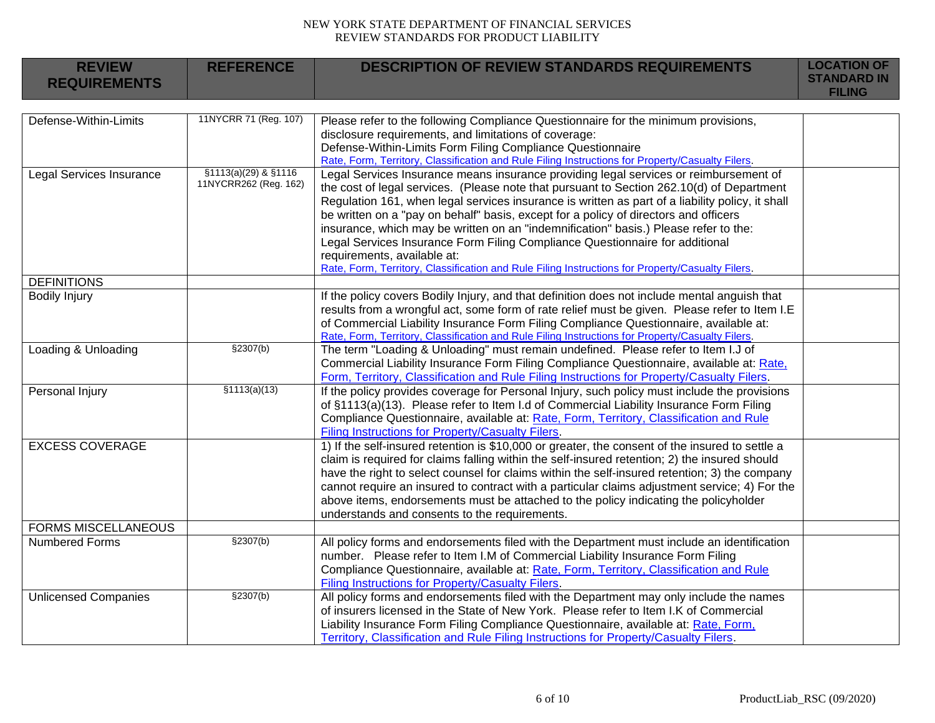| <b>REVIEW</b><br><b>REQUIREMENTS</b> | <b>REFERENCE</b>                              | <b>DESCRIPTION OF REVIEW STANDARDS REQUIREMENTS</b>                                                                                                                                                                                                                                                                                                                                                                                                                                                                                                                                                                                                                                       | <b>LOCATION OF</b><br><b>STANDARD IN</b><br><b>FILING</b> |
|--------------------------------------|-----------------------------------------------|-------------------------------------------------------------------------------------------------------------------------------------------------------------------------------------------------------------------------------------------------------------------------------------------------------------------------------------------------------------------------------------------------------------------------------------------------------------------------------------------------------------------------------------------------------------------------------------------------------------------------------------------------------------------------------------------|-----------------------------------------------------------|
|                                      |                                               |                                                                                                                                                                                                                                                                                                                                                                                                                                                                                                                                                                                                                                                                                           |                                                           |
| Defense-Within-Limits                | 11NYCRR 71 (Reg. 107)                         | Please refer to the following Compliance Questionnaire for the minimum provisions,<br>disclosure requirements, and limitations of coverage:<br>Defense-Within-Limits Form Filing Compliance Questionnaire<br>Rate, Form, Territory, Classification and Rule Filing Instructions for Property/Casualty Filers.                                                                                                                                                                                                                                                                                                                                                                             |                                                           |
| <b>Legal Services Insurance</b>      | §1113(a)(29) & §1116<br>11NYCRR262 (Reg. 162) | Legal Services Insurance means insurance providing legal services or reimbursement of<br>the cost of legal services. (Please note that pursuant to Section 262.10(d) of Department<br>Regulation 161, when legal services insurance is written as part of a liability policy, it shall<br>be written on a "pay on behalf" basis, except for a policy of directors and officers<br>insurance, which may be written on an "indemnification" basis.) Please refer to the:<br>Legal Services Insurance Form Filing Compliance Questionnaire for additional<br>requirements, available at:<br>Rate, Form, Territory, Classification and Rule Filing Instructions for Property/Casualty Filers. |                                                           |
| <b>DEFINITIONS</b>                   |                                               |                                                                                                                                                                                                                                                                                                                                                                                                                                                                                                                                                                                                                                                                                           |                                                           |
| <b>Bodily Injury</b>                 |                                               | If the policy covers Bodily Injury, and that definition does not include mental anguish that<br>results from a wrongful act, some form of rate relief must be given. Please refer to Item I.E<br>of Commercial Liability Insurance Form Filing Compliance Questionnaire, available at:<br>Rate, Form, Territory, Classification and Rule Filing Instructions for Property/Casualty Filers.                                                                                                                                                                                                                                                                                                |                                                           |
| Loading & Unloading                  | \$2307(b)                                     | The term "Loading & Unloading" must remain undefined. Please refer to Item I.J of<br>Commercial Liability Insurance Form Filing Compliance Questionnaire, available at: Rate,<br>Form, Territory, Classification and Rule Filing Instructions for Property/Casualty Filers.                                                                                                                                                                                                                                                                                                                                                                                                               |                                                           |
| Personal Injury                      | \$1113(a)(13)                                 | If the policy provides coverage for Personal Injury, such policy must include the provisions<br>of §1113(a)(13). Please refer to Item I.d of Commercial Liability Insurance Form Filing<br>Compliance Questionnaire, available at: Rate, Form, Territory, Classification and Rule<br>Filing Instructions for Property/Casualty Filers.                                                                                                                                                                                                                                                                                                                                                    |                                                           |
| <b>EXCESS COVERAGE</b>               |                                               | 1) If the self-insured retention is \$10,000 or greater, the consent of the insured to settle a<br>claim is required for claims falling within the self-insured retention; 2) the insured should<br>have the right to select counsel for claims within the self-insured retention; 3) the company<br>cannot require an insured to contract with a particular claims adjustment service; 4) For the<br>above items, endorsements must be attached to the policy indicating the policyholder<br>understands and consents to the requirements.                                                                                                                                               |                                                           |
| <b>FORMS MISCELLANEOUS</b>           |                                               |                                                                                                                                                                                                                                                                                                                                                                                                                                                                                                                                                                                                                                                                                           |                                                           |
| <b>Numbered Forms</b>                | \$2307(b)                                     | All policy forms and endorsements filed with the Department must include an identification<br>number. Please refer to Item I.M of Commercial Liability Insurance Form Filing<br>Compliance Questionnaire, available at: Rate, Form, Territory, Classification and Rule<br><b>Filing Instructions for Property/Casualty Filers.</b>                                                                                                                                                                                                                                                                                                                                                        |                                                           |
| <b>Unlicensed Companies</b>          | \$2307(b)                                     | All policy forms and endorsements filed with the Department may only include the names<br>of insurers licensed in the State of New York. Please refer to Item I.K of Commercial<br>Liability Insurance Form Filing Compliance Questionnaire, available at: Rate, Form,<br>Territory, Classification and Rule Filing Instructions for Property/Casualty Filers.                                                                                                                                                                                                                                                                                                                            |                                                           |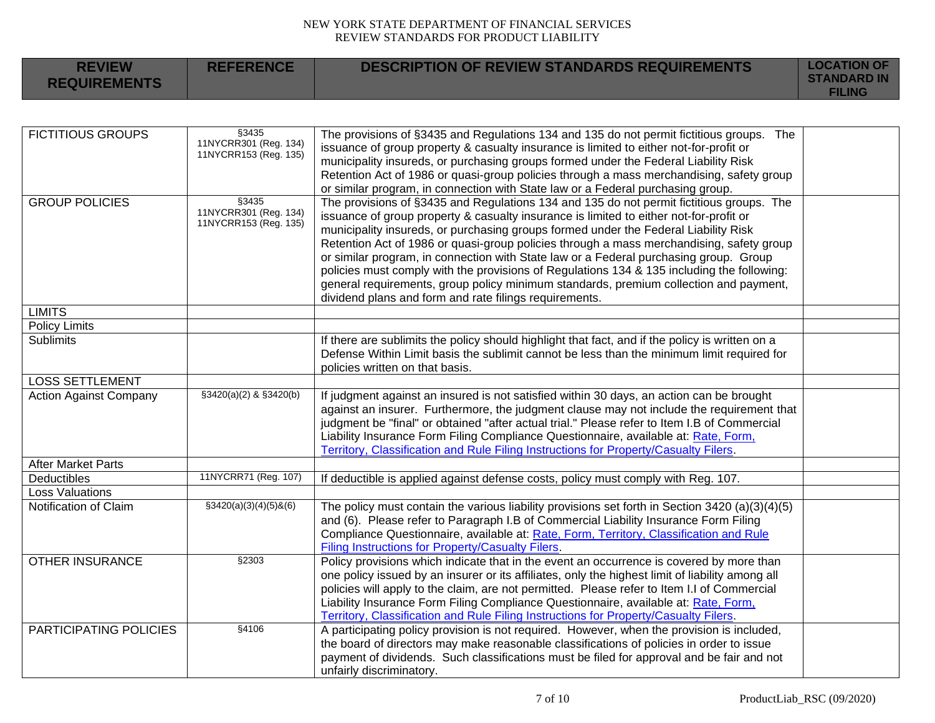| <b>REVIEW</b><br><b>REQUIREMENTS</b> | <b>REFERENCE</b>                                         | <b>DESCRIPTION OF REVIEW STANDARDS REQUIREMENTS</b>                                                                                                                                                                                                                                                                                                                                                                                                                                                                                                                                                                                                                                                             | <b>LOCATION OF</b><br><b>STANDARD IN</b><br><b>FILING</b> |
|--------------------------------------|----------------------------------------------------------|-----------------------------------------------------------------------------------------------------------------------------------------------------------------------------------------------------------------------------------------------------------------------------------------------------------------------------------------------------------------------------------------------------------------------------------------------------------------------------------------------------------------------------------------------------------------------------------------------------------------------------------------------------------------------------------------------------------------|-----------------------------------------------------------|
|                                      |                                                          |                                                                                                                                                                                                                                                                                                                                                                                                                                                                                                                                                                                                                                                                                                                 |                                                           |
| <b>FICTITIOUS GROUPS</b>             | §3435<br>11NYCRR301 (Reg. 134)<br>11NYCRR153 (Reg. 135)  | The provisions of §3435 and Regulations 134 and 135 do not permit fictitious groups. The<br>issuance of group property & casualty insurance is limited to either not-for-profit or<br>municipality insureds, or purchasing groups formed under the Federal Liability Risk<br>Retention Act of 1986 or quasi-group policies through a mass merchandising, safety group<br>or similar program, in connection with State law or a Federal purchasing group.                                                                                                                                                                                                                                                        |                                                           |
| <b>GROUP POLICIES</b>                | \$3435<br>11NYCRR301 (Reg. 134)<br>11NYCRR153 (Reg. 135) | The provisions of §3435 and Regulations 134 and 135 do not permit fictitious groups. The<br>issuance of group property & casualty insurance is limited to either not-for-profit or<br>municipality insureds, or purchasing groups formed under the Federal Liability Risk<br>Retention Act of 1986 or quasi-group policies through a mass merchandising, safety group<br>or similar program, in connection with State law or a Federal purchasing group. Group<br>policies must comply with the provisions of Regulations 134 & 135 including the following:<br>general requirements, group policy minimum standards, premium collection and payment,<br>dividend plans and form and rate filings requirements. |                                                           |
| <b>LIMITS</b>                        |                                                          |                                                                                                                                                                                                                                                                                                                                                                                                                                                                                                                                                                                                                                                                                                                 |                                                           |
| <b>Policy Limits</b>                 |                                                          |                                                                                                                                                                                                                                                                                                                                                                                                                                                                                                                                                                                                                                                                                                                 |                                                           |
| Sublimits                            |                                                          | If there are sublimits the policy should highlight that fact, and if the policy is written on a<br>Defense Within Limit basis the sublimit cannot be less than the minimum limit required for<br>policies written on that basis.                                                                                                                                                                                                                                                                                                                                                                                                                                                                                |                                                           |
| <b>LOSS SETTLEMENT</b>               |                                                          |                                                                                                                                                                                                                                                                                                                                                                                                                                                                                                                                                                                                                                                                                                                 |                                                           |
| <b>Action Against Company</b>        | $$3420(a)(2)$ & $$3420(b)$                               | If judgment against an insured is not satisfied within 30 days, an action can be brought<br>against an insurer. Furthermore, the judgment clause may not include the requirement that<br>judgment be "final" or obtained "after actual trial." Please refer to Item I.B of Commercial<br>Liability Insurance Form Filing Compliance Questionnaire, available at: Rate, Form,<br>Territory, Classification and Rule Filing Instructions for Property/Casualty Filers.                                                                                                                                                                                                                                            |                                                           |
| <b>After Market Parts</b>            |                                                          |                                                                                                                                                                                                                                                                                                                                                                                                                                                                                                                                                                                                                                                                                                                 |                                                           |
| Deductibles                          | 11NYCRR71 (Reg. 107)                                     | If deductible is applied against defense costs, policy must comply with Reg. 107.                                                                                                                                                                                                                                                                                                                                                                                                                                                                                                                                                                                                                               |                                                           |
| <b>Loss Valuations</b>               |                                                          |                                                                                                                                                                                                                                                                                                                                                                                                                                                                                                                                                                                                                                                                                                                 |                                                           |
| Notification of Claim                | $$3420(a)(3)(4)(5)$ &(6)                                 | The policy must contain the various liability provisions set forth in Section 3420 (a)(3)(4)(5)<br>and (6). Please refer to Paragraph I.B of Commercial Liability Insurance Form Filing<br>Compliance Questionnaire, available at: Rate, Form, Territory, Classification and Rule<br>Filing Instructions for Property/Casualty Filers.                                                                                                                                                                                                                                                                                                                                                                          |                                                           |
| <b>OTHER INSURANCE</b>               | §2303                                                    | Policy provisions which indicate that in the event an occurrence is covered by more than<br>one policy issued by an insurer or its affiliates, only the highest limit of liability among all<br>policies will apply to the claim, are not permitted. Please refer to Item I.I of Commercial<br>Liability Insurance Form Filing Compliance Questionnaire, available at: Rate, Form,<br>Territory, Classification and Rule Filing Instructions for Property/Casualty Filers.                                                                                                                                                                                                                                      |                                                           |
| PARTICIPATING POLICIES               | §4106                                                    | A participating policy provision is not required. However, when the provision is included,<br>the board of directors may make reasonable classifications of policies in order to issue<br>payment of dividends. Such classifications must be filed for approval and be fair and not<br>unfairly discriminatory.                                                                                                                                                                                                                                                                                                                                                                                                 |                                                           |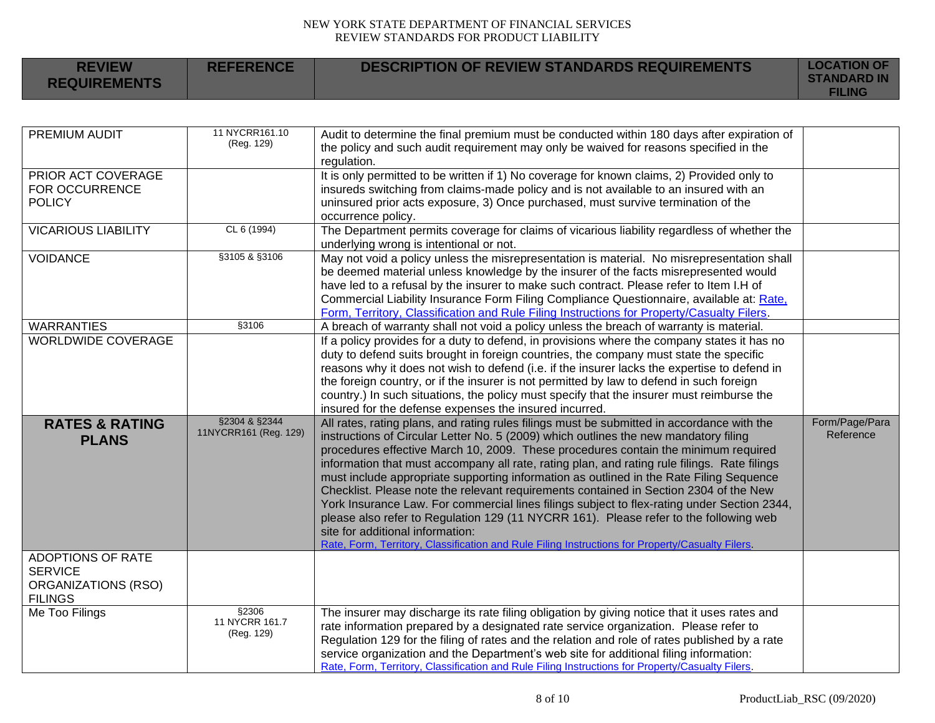**REFERENCE DESCRIPTION OF REVIEW STANDARDS REQUIREMENTS LOCATION OF** 

**REVIEW REQUIREMENTS**

|                                                                                     |                                        |                                                                                                                                                                                                                                                                                                                                                                                                                                                                                                                                                                                                                                                                                                                                                                                                                                                                                              | <b>FILING</b>               |
|-------------------------------------------------------------------------------------|----------------------------------------|----------------------------------------------------------------------------------------------------------------------------------------------------------------------------------------------------------------------------------------------------------------------------------------------------------------------------------------------------------------------------------------------------------------------------------------------------------------------------------------------------------------------------------------------------------------------------------------------------------------------------------------------------------------------------------------------------------------------------------------------------------------------------------------------------------------------------------------------------------------------------------------------|-----------------------------|
|                                                                                     |                                        |                                                                                                                                                                                                                                                                                                                                                                                                                                                                                                                                                                                                                                                                                                                                                                                                                                                                                              |                             |
| PREMIUM AUDIT                                                                       | 11 NYCRR161.10<br>(Reg. 129)           | Audit to determine the final premium must be conducted within 180 days after expiration of<br>the policy and such audit requirement may only be waived for reasons specified in the<br>regulation.                                                                                                                                                                                                                                                                                                                                                                                                                                                                                                                                                                                                                                                                                           |                             |
| PRIOR ACT COVERAGE<br>FOR OCCURRENCE<br><b>POLICY</b>                               |                                        | It is only permitted to be written if 1) No coverage for known claims, 2) Provided only to<br>insureds switching from claims-made policy and is not available to an insured with an<br>uninsured prior acts exposure, 3) Once purchased, must survive termination of the<br>occurrence policy.                                                                                                                                                                                                                                                                                                                                                                                                                                                                                                                                                                                               |                             |
| <b>VICARIOUS LIABILITY</b>                                                          | CL 6 (1994)                            | The Department permits coverage for claims of vicarious liability regardless of whether the<br>underlying wrong is intentional or not.                                                                                                                                                                                                                                                                                                                                                                                                                                                                                                                                                                                                                                                                                                                                                       |                             |
| <b>VOIDANCE</b>                                                                     | §3105 & §3106                          | May not void a policy unless the misrepresentation is material. No misrepresentation shall<br>be deemed material unless knowledge by the insurer of the facts misrepresented would<br>have led to a refusal by the insurer to make such contract. Please refer to Item I.H of<br>Commercial Liability Insurance Form Filing Compliance Questionnaire, available at: Rate,<br>Form, Territory, Classification and Rule Filing Instructions for Property/Casualty Filers.                                                                                                                                                                                                                                                                                                                                                                                                                      |                             |
| <b>WARRANTIES</b>                                                                   | §3106                                  | A breach of warranty shall not void a policy unless the breach of warranty is material.                                                                                                                                                                                                                                                                                                                                                                                                                                                                                                                                                                                                                                                                                                                                                                                                      |                             |
| <b>WORLDWIDE COVERAGE</b>                                                           |                                        | If a policy provides for a duty to defend, in provisions where the company states it has no<br>duty to defend suits brought in foreign countries, the company must state the specific<br>reasons why it does not wish to defend (i.e. if the insurer lacks the expertise to defend in<br>the foreign country, or if the insurer is not permitted by law to defend in such foreign<br>country.) In such situations, the policy must specify that the insurer must reimburse the<br>insured for the defense expenses the insured incurred.                                                                                                                                                                                                                                                                                                                                                     |                             |
| <b>RATES &amp; RATING</b><br><b>PLANS</b>                                           | §2304 & §2344<br>11NYCRR161 (Reg. 129) | All rates, rating plans, and rating rules filings must be submitted in accordance with the<br>instructions of Circular Letter No. 5 (2009) which outlines the new mandatory filing<br>procedures effective March 10, 2009. These procedures contain the minimum required<br>information that must accompany all rate, rating plan, and rating rule filings. Rate filings<br>must include appropriate supporting information as outlined in the Rate Filing Sequence<br>Checklist. Please note the relevant requirements contained in Section 2304 of the New<br>York Insurance Law. For commercial lines filings subject to flex-rating under Section 2344,<br>please also refer to Regulation 129 (11 NYCRR 161). Please refer to the following web<br>site for additional information:<br>Rate, Form, Territory, Classification and Rule Filing Instructions for Property/Casualty Filers. | Form/Page/Para<br>Reference |
| <b>ADOPTIONS OF RATE</b><br><b>SERVICE</b><br>ORGANIZATIONS (RSO)<br><b>FILINGS</b> |                                        |                                                                                                                                                                                                                                                                                                                                                                                                                                                                                                                                                                                                                                                                                                                                                                                                                                                                                              |                             |
| Me Too Filings                                                                      | §2306<br>11 NYCRR 161.7<br>(Reg. 129)  | The insurer may discharge its rate filing obligation by giving notice that it uses rates and<br>rate information prepared by a designated rate service organization. Please refer to<br>Regulation 129 for the filing of rates and the relation and role of rates published by a rate<br>service organization and the Department's web site for additional filing information:<br>Rate, Form, Territory, Classification and Rule Filing Instructions for Property/Casualty Filers.                                                                                                                                                                                                                                                                                                                                                                                                           |                             |

**STANDARD IN**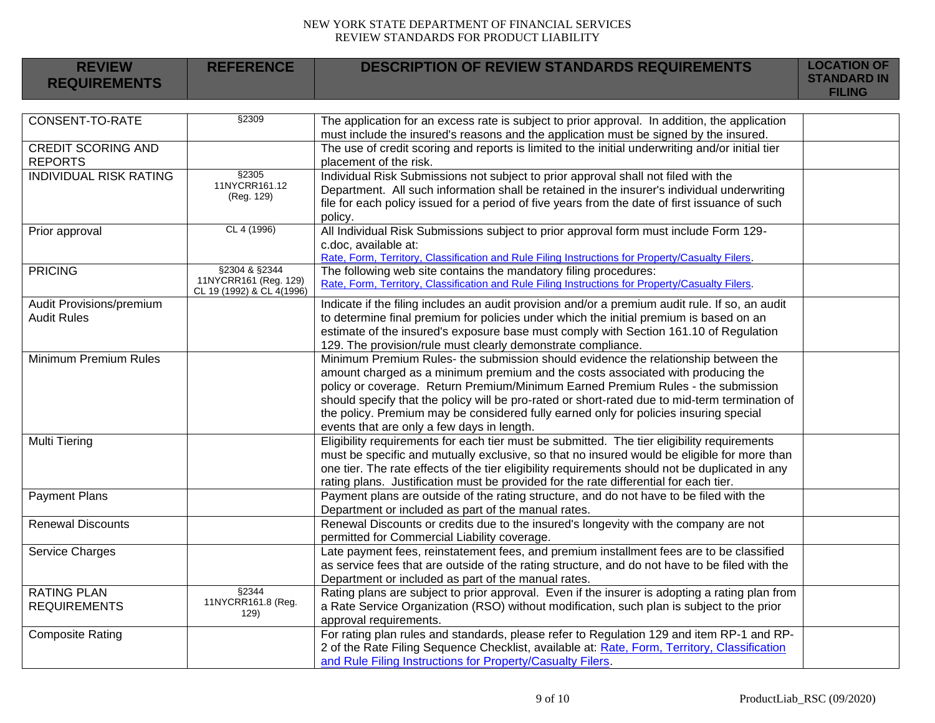| <b>REVIEW</b><br><b>REQUIREMENTS</b>           | <b>REFERENCE</b>                                                    | <b>DESCRIPTION OF REVIEW STANDARDS REQUIREMENTS</b>                                                                                                                                                                                                                                                                                                                                                                                                                                                | <b>LOCATION OF</b><br><b>STANDARD IN</b><br><b>FILING</b> |
|------------------------------------------------|---------------------------------------------------------------------|----------------------------------------------------------------------------------------------------------------------------------------------------------------------------------------------------------------------------------------------------------------------------------------------------------------------------------------------------------------------------------------------------------------------------------------------------------------------------------------------------|-----------------------------------------------------------|
|                                                |                                                                     |                                                                                                                                                                                                                                                                                                                                                                                                                                                                                                    |                                                           |
| <b>CONSENT-TO-RATE</b>                         | §2309                                                               | The application for an excess rate is subject to prior approval. In addition, the application<br>must include the insured's reasons and the application must be signed by the insured.                                                                                                                                                                                                                                                                                                             |                                                           |
| <b>CREDIT SCORING AND</b><br><b>REPORTS</b>    |                                                                     | The use of credit scoring and reports is limited to the initial underwriting and/or initial tier<br>placement of the risk.                                                                                                                                                                                                                                                                                                                                                                         |                                                           |
| <b>INDIVIDUAL RISK RATING</b>                  | §2305<br>11NYCRR161.12<br>(Reg. 129)                                | Individual Risk Submissions not subject to prior approval shall not filed with the<br>Department. All such information shall be retained in the insurer's individual underwriting<br>file for each policy issued for a period of five years from the date of first issuance of such<br>policy.                                                                                                                                                                                                     |                                                           |
| Prior approval                                 | CL 4 (1996)                                                         | All Individual Risk Submissions subject to prior approval form must include Form 129-<br>c.doc, available at:<br>Rate, Form, Territory, Classification and Rule Filing Instructions for Property/Casualty Filers.                                                                                                                                                                                                                                                                                  |                                                           |
| <b>PRICING</b>                                 | §2304 & §2344<br>11NYCRR161 (Reg. 129)<br>CL 19 (1992) & CL 4(1996) | The following web site contains the mandatory filing procedures:<br>Rate, Form, Territory, Classification and Rule Filing Instructions for Property/Casualty Filers.                                                                                                                                                                                                                                                                                                                               |                                                           |
| Audit Provisions/premium<br><b>Audit Rules</b> |                                                                     | Indicate if the filing includes an audit provision and/or a premium audit rule. If so, an audit<br>to determine final premium for policies under which the initial premium is based on an<br>estimate of the insured's exposure base must comply with Section 161.10 of Regulation<br>129. The provision/rule must clearly demonstrate compliance.                                                                                                                                                 |                                                           |
| Minimum Premium Rules                          |                                                                     | Minimum Premium Rules- the submission should evidence the relationship between the<br>amount charged as a minimum premium and the costs associated with producing the<br>policy or coverage. Return Premium/Minimum Earned Premium Rules - the submission<br>should specify that the policy will be pro-rated or short-rated due to mid-term termination of<br>the policy. Premium may be considered fully earned only for policies insuring special<br>events that are only a few days in length. |                                                           |
| <b>Multi Tiering</b>                           |                                                                     | Eligibility requirements for each tier must be submitted. The tier eligibility requirements<br>must be specific and mutually exclusive, so that no insured would be eligible for more than<br>one tier. The rate effects of the tier eligibility requirements should not be duplicated in any<br>rating plans. Justification must be provided for the rate differential for each tier.                                                                                                             |                                                           |
| <b>Payment Plans</b>                           |                                                                     | Payment plans are outside of the rating structure, and do not have to be filed with the<br>Department or included as part of the manual rates.                                                                                                                                                                                                                                                                                                                                                     |                                                           |
| <b>Renewal Discounts</b>                       |                                                                     | Renewal Discounts or credits due to the insured's longevity with the company are not<br>permitted for Commercial Liability coverage.                                                                                                                                                                                                                                                                                                                                                               |                                                           |
| <b>Service Charges</b>                         |                                                                     | Late payment fees, reinstatement fees, and premium installment fees are to be classified<br>as service fees that are outside of the rating structure, and do not have to be filed with the<br>Department or included as part of the manual rates.                                                                                                                                                                                                                                                  |                                                           |
| <b>RATING PLAN</b><br><b>REQUIREMENTS</b>      | §2344<br>11NYCRR161.8 (Reg.<br>129)                                 | Rating plans are subject to prior approval. Even if the insurer is adopting a rating plan from<br>a Rate Service Organization (RSO) without modification, such plan is subject to the prior<br>approval requirements.                                                                                                                                                                                                                                                                              |                                                           |
| <b>Composite Rating</b>                        |                                                                     | For rating plan rules and standards, please refer to Regulation 129 and item RP-1 and RP-<br>2 of the Rate Filing Sequence Checklist, available at: Rate, Form, Territory, Classification<br>and Rule Filing Instructions for Property/Casualty Filers.                                                                                                                                                                                                                                            |                                                           |